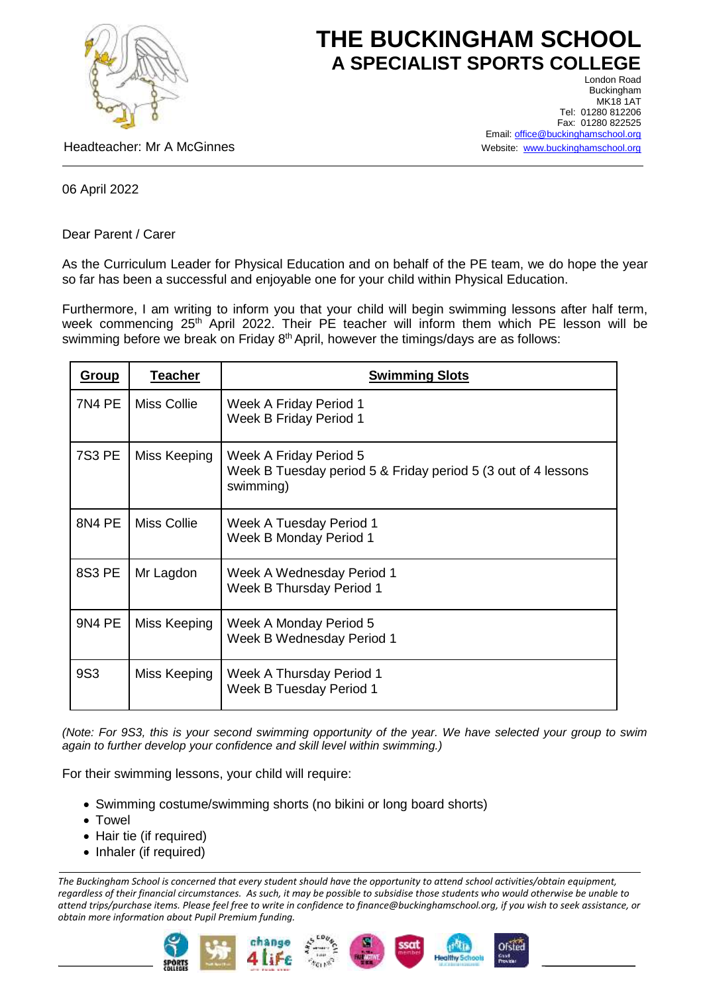

## **THE BUCKINGHAM SCHOOL A SPECIALIST SPORTS COLLEGE** London Road

Headteacher: Mr A McGinnes

Buckingham MK18 1AT Tel: 01280 812206 Fax: 01280 822525 Email: [office@buckinghamschool.org](mailto:office@buckinghamschool.org) Website: [www.buckinghamschool.org](http://www.buckinghamschool.org/)

06 April 2022

Dear Parent / Carer

As the Curriculum Leader for Physical Education and on behalf of the PE team, we do hope the year so far has been a successful and enjoyable one for your child within Physical Education.

Furthermore, I am writing to inform you that your child will begin swimming lessons after half term, week commencing 25<sup>th</sup> April 2022. Their PE teacher will inform them which PE lesson will be swimming before we break on Friday 8<sup>th</sup> April, however the timings/days are as follows:

| <u>Group</u>  | <b>Teacher</b> | <b>Swimming Slots</b>                                                                                |
|---------------|----------------|------------------------------------------------------------------------------------------------------|
| <b>7N4 PE</b> | Miss Collie    | Week A Friday Period 1<br>Week B Friday Period 1                                                     |
| <b>7S3 PE</b> | Miss Keeping   | Week A Friday Period 5<br>Week B Tuesday period 5 & Friday period 5 (3 out of 4 lessons<br>swimming) |
| 8N4 PE        | Miss Collie    | Week A Tuesday Period 1<br>Week B Monday Period 1                                                    |
| <b>8S3 PE</b> | Mr Lagdon      | Week A Wednesday Period 1<br>Week B Thursday Period 1                                                |
| <b>9N4 PE</b> | Miss Keeping   | Week A Monday Period 5<br>Week B Wednesday Period 1                                                  |
| 9S3           | Miss Keeping   | Week A Thursday Period 1<br>Week B Tuesday Period 1                                                  |

*(Note: For 9S3, this is your second swimming opportunity of the year. We have selected your group to swim again to further develop your confidence and skill level within swimming.)*

For their swimming lessons, your child will require:

- Swimming costume/swimming shorts (no bikini or long board shorts)
- Towel
- Hair tie (if required)
- Inhaler (if required)

*The Buckingham School is concerned that every student should have the opportunity to attend school activities/obtain equipment, regardless of their financial circumstances. As such, it may be possible to subsidise those students who would otherwise be unable to attend trips/purchase items. Please feel free to write in confidence to finance@buckinghamschool.org, if you wish to seek assistance, or obtain more information about Pupil Premium funding.*